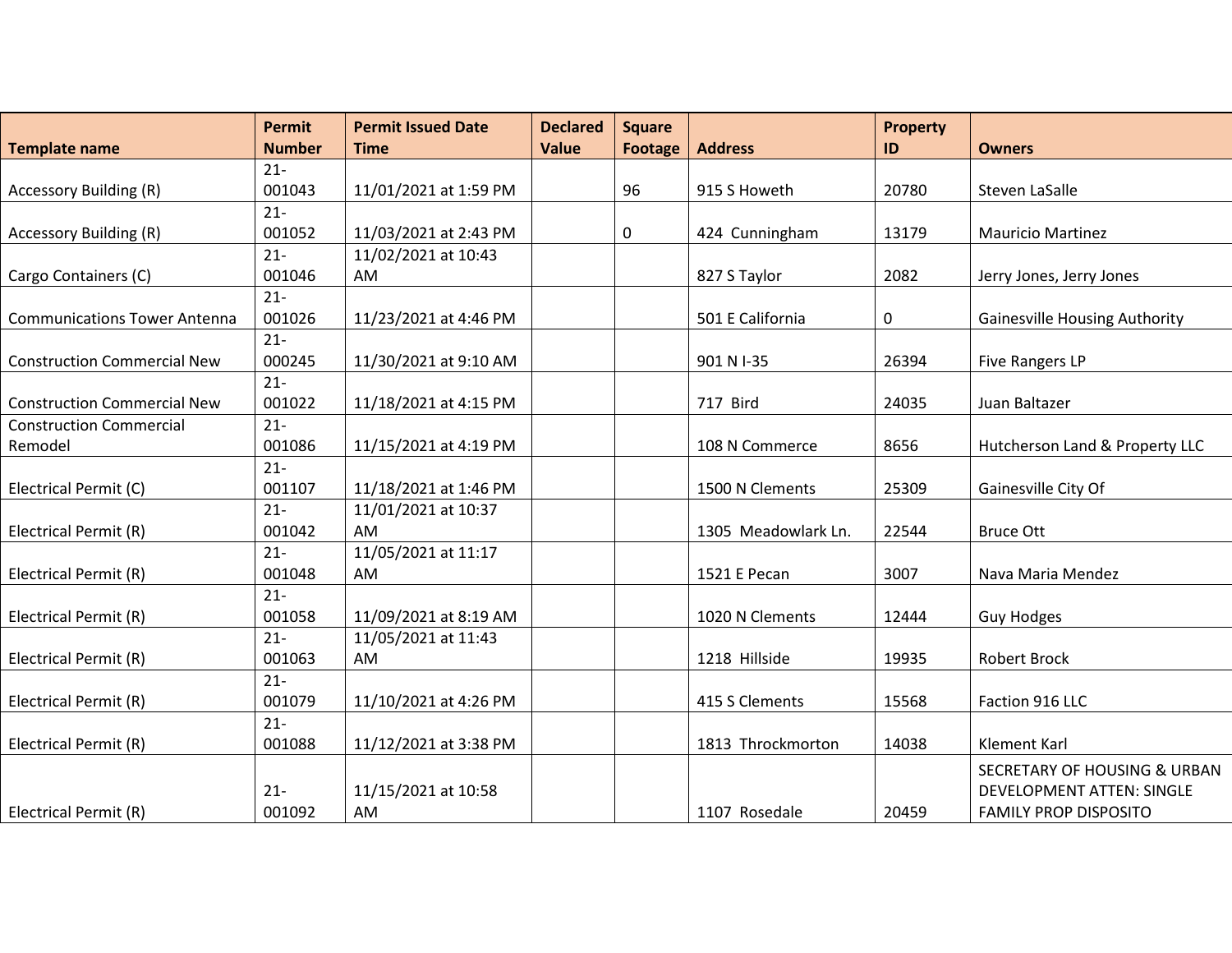|                                     | <b>Permit</b> | <b>Permit Issued Date</b> | <b>Declared</b> | <b>Square</b>  |                     | <b>Property</b> |                                         |
|-------------------------------------|---------------|---------------------------|-----------------|----------------|---------------------|-----------------|-----------------------------------------|
| <b>Template name</b>                | <b>Number</b> | <b>Time</b>               | <b>Value</b>    | <b>Footage</b> | <b>Address</b>      | ID              | <b>Owners</b>                           |
|                                     | $21 -$        |                           |                 |                |                     |                 |                                         |
| <b>Accessory Building (R)</b>       | 001043        | 11/01/2021 at 1:59 PM     |                 | 96             | 915 S Howeth        | 20780           | Steven LaSalle                          |
|                                     | $21 -$        |                           |                 |                |                     |                 |                                         |
| <b>Accessory Building (R)</b>       | 001052        | 11/03/2021 at 2:43 PM     |                 | 0              | 424 Cunningham      | 13179           | <b>Mauricio Martinez</b>                |
|                                     | $21 -$        | 11/02/2021 at 10:43       |                 |                |                     |                 |                                         |
| Cargo Containers (C)                | 001046        | <b>AM</b>                 |                 |                | 827 S Taylor        | 2082            | Jerry Jones, Jerry Jones                |
|                                     | $21 -$        |                           |                 |                |                     |                 |                                         |
| <b>Communications Tower Antenna</b> | 001026        | 11/23/2021 at 4:46 PM     |                 |                | 501 E California    | 0               | <b>Gainesville Housing Authority</b>    |
|                                     | $21 -$        |                           |                 |                |                     |                 |                                         |
| <b>Construction Commercial New</b>  | 000245        | 11/30/2021 at 9:10 AM     |                 |                | 901 N I-35          | 26394           | <b>Five Rangers LP</b>                  |
|                                     | $21 -$        |                           |                 |                |                     |                 |                                         |
| <b>Construction Commercial New</b>  | 001022        | 11/18/2021 at 4:15 PM     |                 |                | 717 Bird            | 24035           | Juan Baltazer                           |
| <b>Construction Commercial</b>      | $21 -$        |                           |                 |                |                     |                 |                                         |
| Remodel                             | 001086        | 11/15/2021 at 4:19 PM     |                 |                | 108 N Commerce      | 8656            | Hutcherson Land & Property LLC          |
|                                     | $21 -$        |                           |                 |                |                     |                 |                                         |
| Electrical Permit (C)               | 001107        | 11/18/2021 at 1:46 PM     |                 |                | 1500 N Clements     | 25309           | Gainesville City Of                     |
|                                     | $21 -$        | 11/01/2021 at 10:37       |                 |                |                     |                 |                                         |
| Electrical Permit (R)               | 001042        | <b>AM</b>                 |                 |                | 1305 Meadowlark Ln. | 22544           | <b>Bruce Ott</b>                        |
|                                     | $21 -$        | 11/05/2021 at 11:17       |                 |                |                     |                 |                                         |
| Electrical Permit (R)               | 001048        | AM                        |                 |                | 1521 E Pecan        | 3007            | Nava Maria Mendez                       |
|                                     | $21 -$        |                           |                 |                |                     |                 |                                         |
| Electrical Permit (R)               | 001058        | 11/09/2021 at 8:19 AM     |                 |                | 1020 N Clements     | 12444           | <b>Guy Hodges</b>                       |
|                                     | $21 -$        | 11/05/2021 at 11:43       |                 |                |                     |                 |                                         |
| Electrical Permit (R)               | 001063        | AM                        |                 |                | 1218 Hillside       | 19935           | <b>Robert Brock</b>                     |
|                                     | $21 -$        |                           |                 |                |                     |                 |                                         |
| Electrical Permit (R)               | 001079        | 11/10/2021 at 4:26 PM     |                 |                | 415 S Clements      | 15568           | Faction 916 LLC                         |
|                                     | $21 -$        |                           |                 |                |                     |                 |                                         |
| Electrical Permit (R)               | 001088        | 11/12/2021 at 3:38 PM     |                 |                | 1813 Throckmorton   | 14038           | <b>Klement Karl</b>                     |
|                                     |               |                           |                 |                |                     |                 | <b>SECRETARY OF HOUSING &amp; URBAN</b> |
|                                     | $21 -$        | 11/15/2021 at 10:58       |                 |                |                     |                 | <b>DEVELOPMENT ATTEN: SINGLE</b>        |
| Electrical Permit (R)               | 001092        | AM                        |                 |                | 1107 Rosedale       | 20459           | <b>FAMILY PROP DISPOSITO</b>            |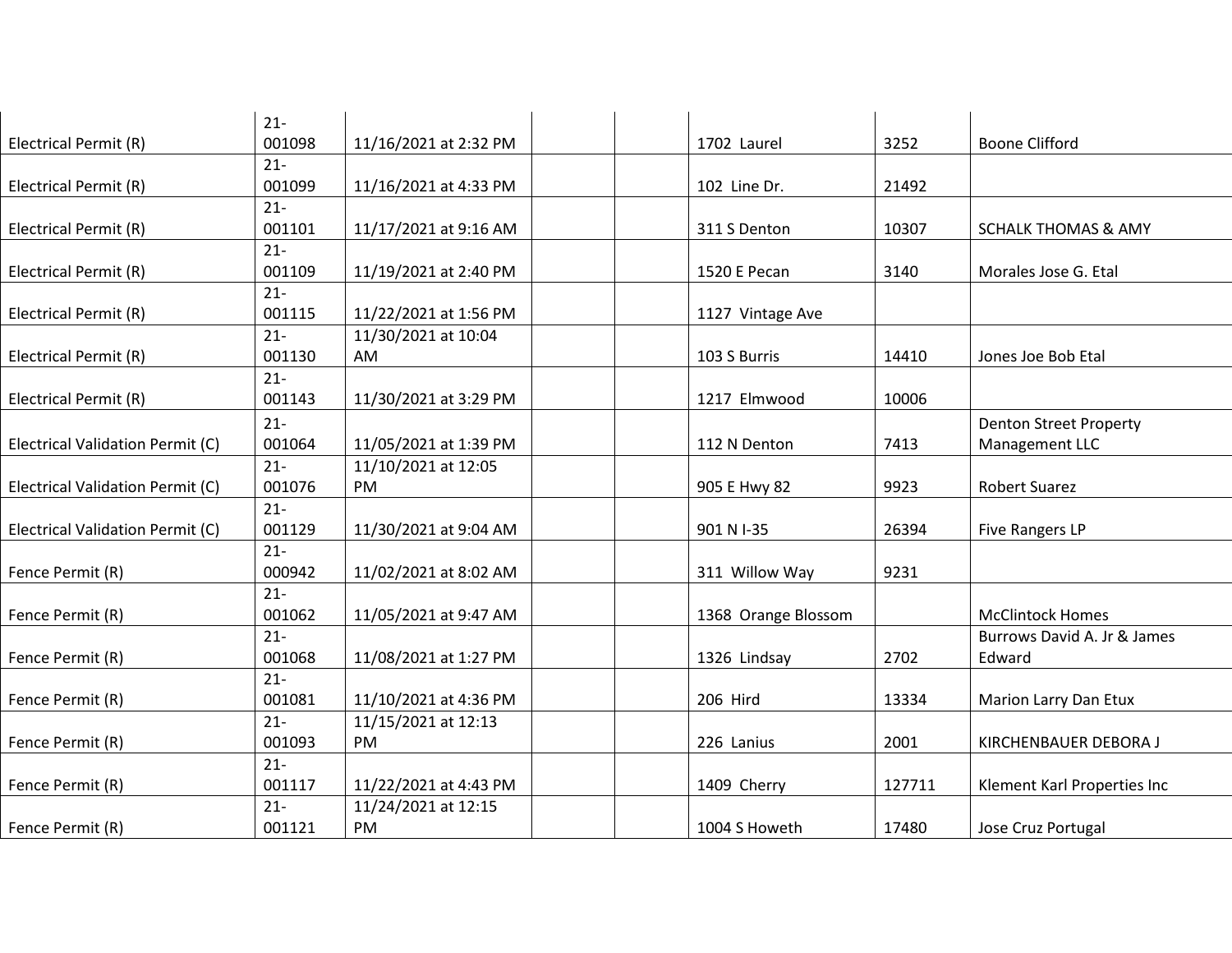|                                  | $21 -$ |                       |                     |        |                                |
|----------------------------------|--------|-----------------------|---------------------|--------|--------------------------------|
| Electrical Permit (R)            | 001098 | 11/16/2021 at 2:32 PM | 1702 Laurel         | 3252   | <b>Boone Clifford</b>          |
|                                  | $21 -$ |                       |                     |        |                                |
| Electrical Permit (R)            | 001099 | 11/16/2021 at 4:33 PM | 102 Line Dr.        | 21492  |                                |
|                                  | $21 -$ |                       |                     |        |                                |
| Electrical Permit (R)            | 001101 | 11/17/2021 at 9:16 AM | 311 S Denton        | 10307  | <b>SCHALK THOMAS &amp; AMY</b> |
|                                  | $21 -$ |                       |                     |        |                                |
| Electrical Permit (R)            | 001109 | 11/19/2021 at 2:40 PM | 1520 E Pecan        | 3140   | Morales Jose G. Etal           |
|                                  | $21 -$ |                       |                     |        |                                |
| Electrical Permit (R)            | 001115 | 11/22/2021 at 1:56 PM | 1127 Vintage Ave    |        |                                |
|                                  | $21 -$ | 11/30/2021 at 10:04   |                     |        |                                |
| Electrical Permit (R)            | 001130 | AM                    | 103 S Burris        | 14410  | Jones Joe Bob Etal             |
|                                  | $21 -$ |                       |                     |        |                                |
| Electrical Permit (R)            | 001143 | 11/30/2021 at 3:29 PM | 1217 Elmwood        | 10006  |                                |
|                                  | $21 -$ |                       |                     |        | <b>Denton Street Property</b>  |
| Electrical Validation Permit (C) | 001064 | 11/05/2021 at 1:39 PM | 112 N Denton        | 7413   | Management LLC                 |
|                                  | $21 -$ | 11/10/2021 at 12:05   |                     |        |                                |
| Electrical Validation Permit (C) | 001076 | PM                    | 905 E Hwy 82        | 9923   | <b>Robert Suarez</b>           |
|                                  | $21 -$ |                       |                     |        |                                |
| Electrical Validation Permit (C) | 001129 | 11/30/2021 at 9:04 AM | 901 N I-35          | 26394  | <b>Five Rangers LP</b>         |
|                                  | $21 -$ |                       |                     |        |                                |
| Fence Permit (R)                 | 000942 | 11/02/2021 at 8:02 AM | 311 Willow Way      | 9231   |                                |
|                                  | $21 -$ |                       |                     |        |                                |
| Fence Permit (R)                 | 001062 | 11/05/2021 at 9:47 AM | 1368 Orange Blossom |        | <b>McClintock Homes</b>        |
|                                  | $21 -$ |                       |                     |        | Burrows David A. Jr & James    |
| Fence Permit (R)                 | 001068 | 11/08/2021 at 1:27 PM | 1326 Lindsay        | 2702   | Edward                         |
|                                  | $21 -$ |                       |                     |        |                                |
| Fence Permit (R)                 | 001081 | 11/10/2021 at 4:36 PM | 206 Hird            | 13334  | Marion Larry Dan Etux          |
|                                  | $21 -$ | 11/15/2021 at 12:13   |                     |        |                                |
| Fence Permit (R)                 | 001093 | PM                    | 226 Lanius          | 2001   | KIRCHENBAUER DEBORA J          |
|                                  | $21 -$ |                       |                     |        |                                |
| Fence Permit (R)                 | 001117 | 11/22/2021 at 4:43 PM | 1409 Cherry         | 127711 | Klement Karl Properties Inc    |
|                                  | $21 -$ | 11/24/2021 at 12:15   |                     |        |                                |
| Fence Permit (R)                 | 001121 | PM                    | 1004 S Howeth       | 17480  | Jose Cruz Portugal             |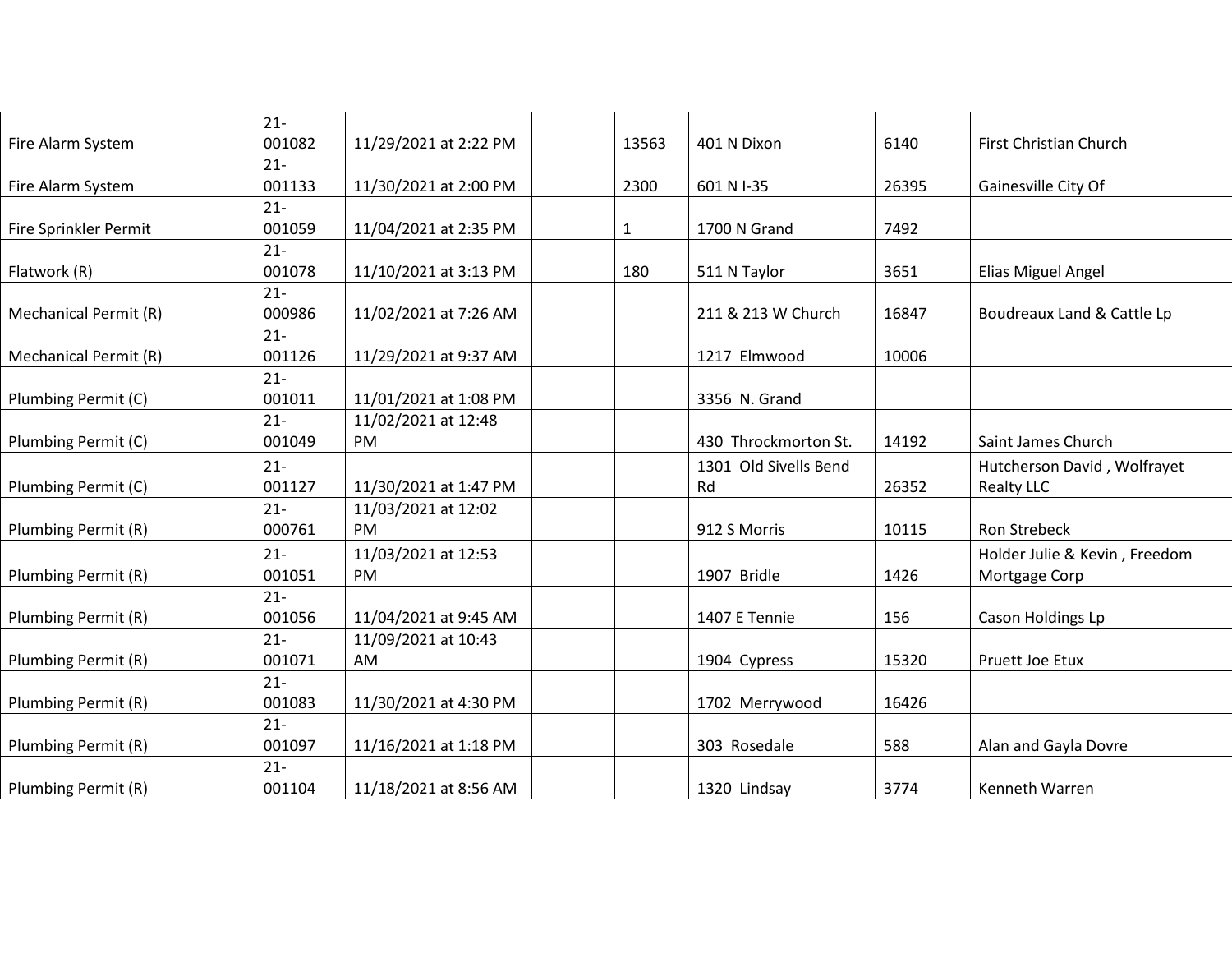|                       | $21 -$           |                       |              |                       |       |                               |
|-----------------------|------------------|-----------------------|--------------|-----------------------|-------|-------------------------------|
| Fire Alarm System     | 001082           | 11/29/2021 at 2:22 PM | 13563        | 401 N Dixon           | 6140  | First Christian Church        |
|                       | $21 -$           |                       |              |                       |       |                               |
| Fire Alarm System     | 001133           | 11/30/2021 at 2:00 PM | 2300         | 601 N I-35            | 26395 | Gainesville City Of           |
|                       | $21 -$           |                       |              |                       |       |                               |
| Fire Sprinkler Permit | 001059<br>$21 -$ | 11/04/2021 at 2:35 PM | $\mathbf{1}$ | 1700 N Grand          | 7492  |                               |
| Flatwork (R)          | 001078           | 11/10/2021 at 3:13 PM | 180          | 511 N Taylor          | 3651  | Elias Miguel Angel            |
|                       | $21 -$           |                       |              |                       |       |                               |
| Mechanical Permit (R) | 000986           | 11/02/2021 at 7:26 AM |              | 211 & 213 W Church    | 16847 | Boudreaux Land & Cattle Lp    |
|                       | $21 -$           |                       |              |                       |       |                               |
| Mechanical Permit (R) | 001126           | 11/29/2021 at 9:37 AM |              | 1217 Elmwood          | 10006 |                               |
|                       | $21 -$           |                       |              |                       |       |                               |
| Plumbing Permit (C)   | 001011           | 11/01/2021 at 1:08 PM |              | 3356 N. Grand         |       |                               |
|                       | $21 -$           | 11/02/2021 at 12:48   |              |                       |       |                               |
| Plumbing Permit (C)   | 001049           | PM                    |              | 430 Throckmorton St.  | 14192 | Saint James Church            |
|                       | $21 -$           |                       |              | 1301 Old Sivells Bend |       | Hutcherson David, Wolfrayet   |
| Plumbing Permit (C)   | 001127           | 11/30/2021 at 1:47 PM |              | Rd                    | 26352 | <b>Realty LLC</b>             |
|                       | $21 -$           | 11/03/2021 at 12:02   |              |                       |       |                               |
| Plumbing Permit (R)   | 000761           | PM                    |              | 912 S Morris          | 10115 | Ron Strebeck                  |
|                       | $21 -$           | 11/03/2021 at 12:53   |              |                       |       | Holder Julie & Kevin, Freedom |
| Plumbing Permit (R)   | 001051           | PM                    |              | 1907 Bridle           | 1426  | Mortgage Corp                 |
|                       | $21 -$           |                       |              |                       |       |                               |
| Plumbing Permit (R)   | 001056           | 11/04/2021 at 9:45 AM |              | 1407 E Tennie         | 156   | Cason Holdings Lp             |
|                       | $21 -$           | 11/09/2021 at 10:43   |              |                       |       |                               |
| Plumbing Permit (R)   | 001071           | AM                    |              | 1904 Cypress          | 15320 | Pruett Joe Etux               |
|                       | $21 -$           |                       |              |                       |       |                               |
| Plumbing Permit (R)   | 001083           | 11/30/2021 at 4:30 PM |              | 1702 Merrywood        | 16426 |                               |
|                       | $21 -$           |                       |              |                       |       |                               |
| Plumbing Permit (R)   | 001097           | 11/16/2021 at 1:18 PM |              | 303 Rosedale          | 588   | Alan and Gayla Dovre          |
|                       | $21 -$           |                       |              |                       |       |                               |
| Plumbing Permit (R)   | 001104           | 11/18/2021 at 8:56 AM |              | 1320 Lindsay          | 3774  | Kenneth Warren                |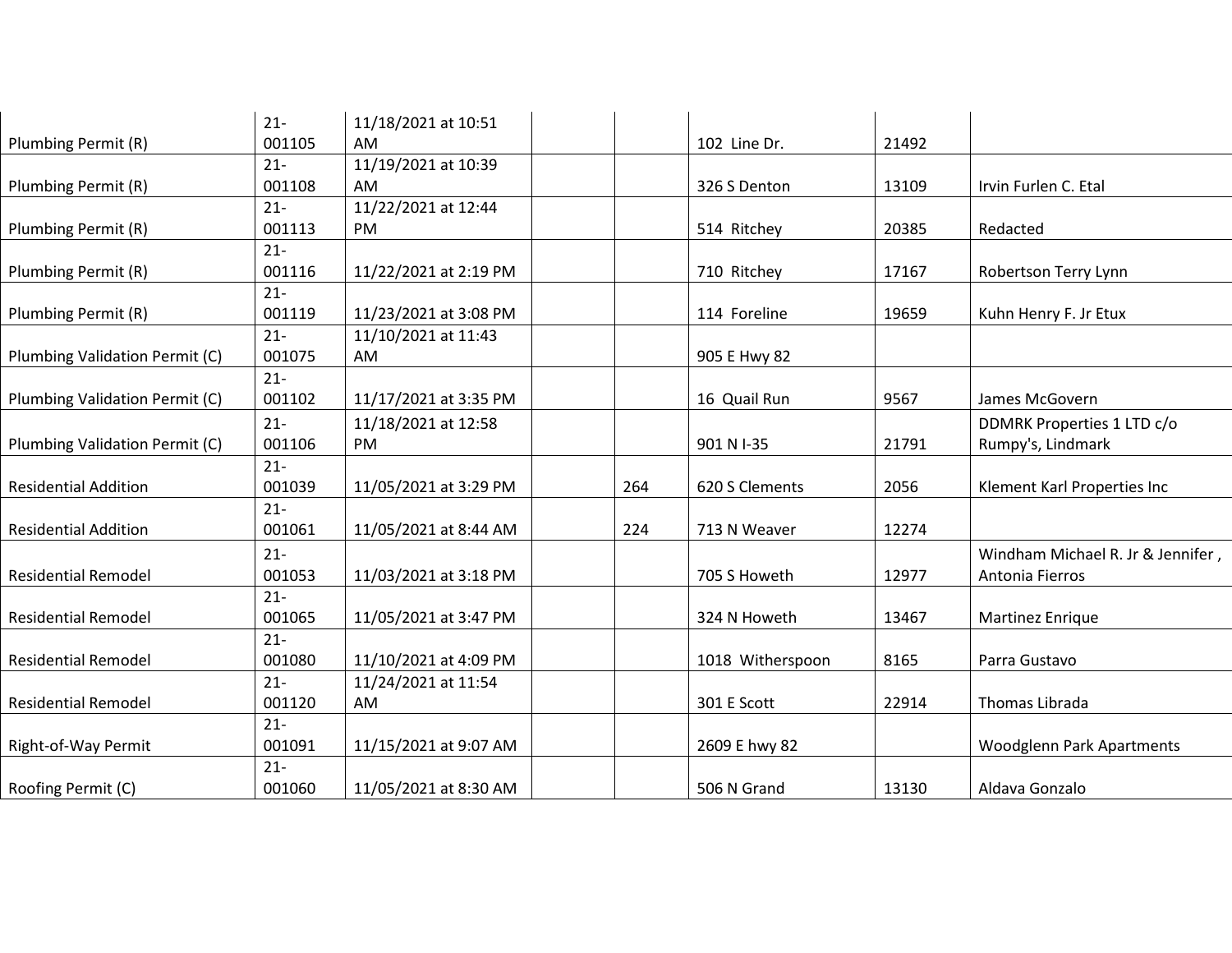|                                | $21 -$ | 11/18/2021 at 10:51   |     |                  |       |                                   |
|--------------------------------|--------|-----------------------|-----|------------------|-------|-----------------------------------|
| Plumbing Permit (R)            | 001105 | AM                    |     | 102 Line Dr.     | 21492 |                                   |
|                                | $21 -$ | 11/19/2021 at 10:39   |     |                  |       |                                   |
| Plumbing Permit (R)            | 001108 | AM                    |     | 326 S Denton     | 13109 | Irvin Furlen C. Etal              |
|                                | $21 -$ | 11/22/2021 at 12:44   |     |                  |       |                                   |
| Plumbing Permit (R)            | 001113 | PM                    |     | 514 Ritchey      | 20385 | Redacted                          |
|                                | $21 -$ |                       |     |                  |       |                                   |
| Plumbing Permit (R)            | 001116 | 11/22/2021 at 2:19 PM |     | 710 Ritchey      | 17167 | Robertson Terry Lynn              |
|                                | $21 -$ |                       |     |                  |       |                                   |
| Plumbing Permit (R)            | 001119 | 11/23/2021 at 3:08 PM |     | 114 Foreline     | 19659 | Kuhn Henry F. Jr Etux             |
|                                | $21 -$ | 11/10/2021 at 11:43   |     |                  |       |                                   |
| Plumbing Validation Permit (C) | 001075 | AM                    |     | 905 E Hwy 82     |       |                                   |
|                                | $21 -$ |                       |     |                  |       |                                   |
| Plumbing Validation Permit (C) | 001102 | 11/17/2021 at 3:35 PM |     | 16 Quail Run     | 9567  | James McGovern                    |
|                                | $21 -$ | 11/18/2021 at 12:58   |     |                  |       | DDMRK Properties 1 LTD c/o        |
| Plumbing Validation Permit (C) | 001106 | PM                    |     | 901 N I-35       | 21791 | Rumpy's, Lindmark                 |
|                                | $21 -$ |                       |     |                  |       |                                   |
| <b>Residential Addition</b>    | 001039 | 11/05/2021 at 3:29 PM | 264 | 620 S Clements   | 2056  | Klement Karl Properties Inc       |
|                                | $21 -$ |                       |     |                  |       |                                   |
| <b>Residential Addition</b>    | 001061 | 11/05/2021 at 8:44 AM | 224 | 713 N Weaver     | 12274 |                                   |
|                                | $21 -$ |                       |     |                  |       | Windham Michael R. Jr & Jennifer, |
| <b>Residential Remodel</b>     | 001053 | 11/03/2021 at 3:18 PM |     | 705 S Howeth     | 12977 | Antonia Fierros                   |
|                                | $21 -$ |                       |     |                  |       |                                   |
| <b>Residential Remodel</b>     | 001065 | 11/05/2021 at 3:47 PM |     | 324 N Howeth     | 13467 | <b>Martinez Enrique</b>           |
|                                | $21 -$ |                       |     |                  |       |                                   |
| <b>Residential Remodel</b>     | 001080 | 11/10/2021 at 4:09 PM |     | 1018 Witherspoon | 8165  | Parra Gustavo                     |
|                                | $21 -$ | 11/24/2021 at 11:54   |     |                  |       |                                   |
| <b>Residential Remodel</b>     | 001120 | AM                    |     | 301 E Scott      | 22914 | Thomas Librada                    |
|                                | $21 -$ |                       |     |                  |       |                                   |
| Right-of-Way Permit            | 001091 | 11/15/2021 at 9:07 AM |     | 2609 E hwy 82    |       | Woodglenn Park Apartments         |
|                                | $21 -$ |                       |     |                  |       |                                   |
| Roofing Permit (C)             | 001060 | 11/05/2021 at 8:30 AM |     | 506 N Grand      | 13130 | Aldava Gonzalo                    |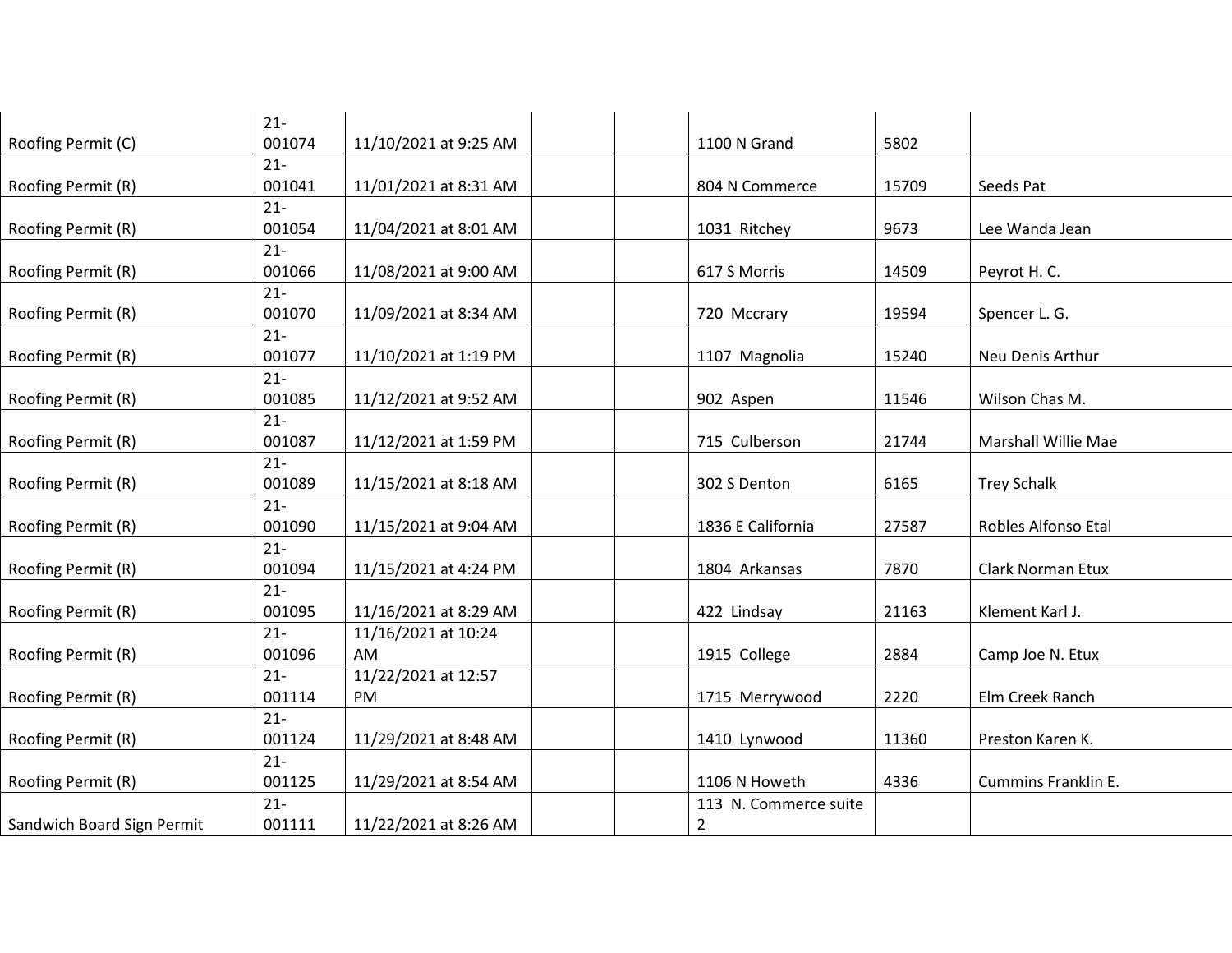| $21 -$ |                                                                                        |                                                                                                  |                       |                                                                |                                |
|--------|----------------------------------------------------------------------------------------|--------------------------------------------------------------------------------------------------|-----------------------|----------------------------------------------------------------|--------------------------------|
|        |                                                                                        |                                                                                                  |                       |                                                                |                                |
|        |                                                                                        |                                                                                                  |                       |                                                                |                                |
|        |                                                                                        |                                                                                                  |                       |                                                                | Seeds Pat                      |
|        |                                                                                        |                                                                                                  |                       |                                                                |                                |
|        |                                                                                        |                                                                                                  |                       |                                                                | Lee Wanda Jean                 |
|        |                                                                                        |                                                                                                  |                       |                                                                |                                |
|        |                                                                                        |                                                                                                  |                       |                                                                | Peyrot H. C.                   |
|        |                                                                                        |                                                                                                  |                       |                                                                |                                |
| 001070 | 11/09/2021 at 8:34 AM                                                                  |                                                                                                  | 720 Mccrary           | 19594                                                          | Spencer L. G.                  |
| $21 -$ |                                                                                        |                                                                                                  |                       |                                                                |                                |
|        | 11/10/2021 at 1:19 PM                                                                  |                                                                                                  | 1107 Magnolia         | 15240                                                          | Neu Denis Arthur               |
| $21 -$ |                                                                                        |                                                                                                  |                       |                                                                |                                |
| 001085 | 11/12/2021 at 9:52 AM                                                                  |                                                                                                  | 902 Aspen             | 11546                                                          | Wilson Chas M.                 |
| $21 -$ |                                                                                        |                                                                                                  |                       |                                                                |                                |
| 001087 | 11/12/2021 at 1:59 PM                                                                  |                                                                                                  | 715 Culberson         | 21744                                                          | Marshall Willie Mae            |
| $21 -$ |                                                                                        |                                                                                                  |                       |                                                                |                                |
| 001089 | 11/15/2021 at 8:18 AM                                                                  |                                                                                                  | 302 S Denton          | 6165                                                           | <b>Trey Schalk</b>             |
| $21 -$ |                                                                                        |                                                                                                  |                       |                                                                |                                |
| 001090 | 11/15/2021 at 9:04 AM                                                                  |                                                                                                  | 1836 E California     | 27587                                                          | Robles Alfonso Etal            |
| $21 -$ |                                                                                        |                                                                                                  |                       |                                                                |                                |
| 001094 | 11/15/2021 at 4:24 PM                                                                  |                                                                                                  | 1804 Arkansas         | 7870                                                           | Clark Norman Etux              |
| $21 -$ |                                                                                        |                                                                                                  |                       |                                                                |                                |
| 001095 | 11/16/2021 at 8:29 AM                                                                  |                                                                                                  | 422 Lindsay           | 21163                                                          | Klement Karl J.                |
| $21 -$ | 11/16/2021 at 10:24                                                                    |                                                                                                  |                       |                                                                |                                |
| 001096 | AM                                                                                     |                                                                                                  | 1915 College          | 2884                                                           | Camp Joe N. Etux               |
| $21 -$ | 11/22/2021 at 12:57                                                                    |                                                                                                  |                       |                                                                |                                |
| 001114 | PM                                                                                     |                                                                                                  | 1715 Merrywood        | 2220                                                           | Elm Creek Ranch                |
| $21 -$ |                                                                                        |                                                                                                  |                       |                                                                |                                |
| 001124 | 11/29/2021 at 8:48 AM                                                                  |                                                                                                  | 1410 Lynwood          | 11360                                                          | Preston Karen K.               |
| $21 -$ |                                                                                        |                                                                                                  |                       |                                                                |                                |
| 001125 | 11/29/2021 at 8:54 AM                                                                  |                                                                                                  | 1106 N Howeth         | 4336                                                           | Cummins Franklin E.            |
| $21 -$ |                                                                                        |                                                                                                  | 113 N. Commerce suite |                                                                |                                |
| 001111 | 11/22/2021 at 8:26 AM                                                                  |                                                                                                  | $\overline{2}$        |                                                                |                                |
|        | 001074<br>$21 -$<br>001041<br>$21 -$<br>001054<br>$21 -$<br>001066<br>$21 -$<br>001077 | 11/10/2021 at 9:25 AM<br>11/01/2021 at 8:31 AM<br>11/04/2021 at 8:01 AM<br>11/08/2021 at 9:00 AM |                       | 1100 N Grand<br>804 N Commerce<br>1031 Ritchey<br>617 S Morris | 5802<br>15709<br>9673<br>14509 |